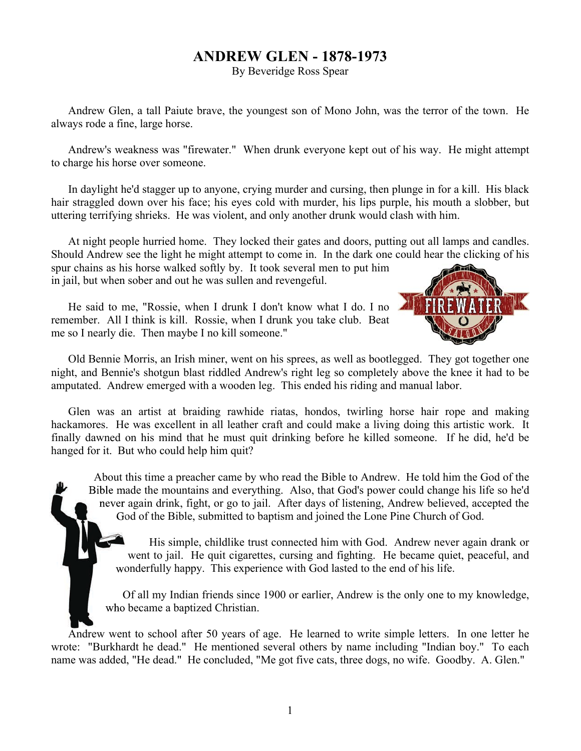## **ANDREW GLEN - 1878-1973**

By Beveridge Ross Spear

Andrew Glen, a tall Paiute brave, the youngest son of Mono John, was the terror of the town. He always rode a fine, large horse.

Andrew's weakness was "firewater." When drunk everyone kept out of his way. He might attempt to charge his horse over someone.

In daylight he'd stagger up to anyone, crying murder and cursing, then plunge in for a kill. His black hair straggled down over his face; his eyes cold with murder, his lips purple, his mouth a slobber, but uttering terrifying shrieks. He was violent, and only another drunk would clash with him.

At night people hurried home. They locked their gates and doors, putting out all lamps and candles. Should Andrew see the light he might attempt to come in. In the dark one could hear the clicking of his

spur chains as his horse walked softly by. It took several men to put him in jail, but when sober and out he was sullen and revengeful.

He said to me, "Rossie, when I drunk I don't know what I do. I no remember. All I think is kill. Rossie, when I drunk you take club. Beat me so I nearly die. Then maybe I no kill someone."



Old Bennie Morris, an Irish miner, went on his sprees, as well as bootlegged. They got together one night, and Bennie's shotgun blast riddled Andrew's right leg so completely above the knee it had to be amputated. Andrew emerged with a wooden leg. This ended his riding and manual labor.

Glen was an artist at braiding rawhide riatas, hondos, twirling horse hair rope and making hackamores. He was excellent in all leather craft and could make a living doing this artistic work. It finally dawned on his mind that he must quit drinking before he killed someone. If he did, he'd be hanged for it. But who could help him quit?

About this time a preacher came by who read the Bible to Andrew. He told him the God of the Bible made the mountains and everything. Also, that God's power could change his life so he'd never again drink, fight, or go to jail. After days of listening, Andrew believed, accepted the

God of the Bible, submitted to baptism and joined the Lone Pine Church of God.<br> **A** His simple, childlike trust connected him with God. Andrew never again went to jail. He quit cigarettes, cursing and fighting. He became q His simple, childlike trust connected him with God. Andrew never again drank or went to jail. He quit cigarettes, cursing and fighting. He became quiet, peaceful, and wonderfully happy. This experience with God lasted to the end of his life.

Of all my Indian friends since 1900 or earlier, Andrew is the only one to my knowledge, who became a baptized Christian.

Andrew went to school after 50 years of age. He learned to write simple letters. In one letter he wrote: "Burkhardt he dead." He mentioned several others by name including "Indian boy." To each name was added, "He dead." He concluded, "Me got five cats, three dogs, no wife. Goodby. A. Glen."